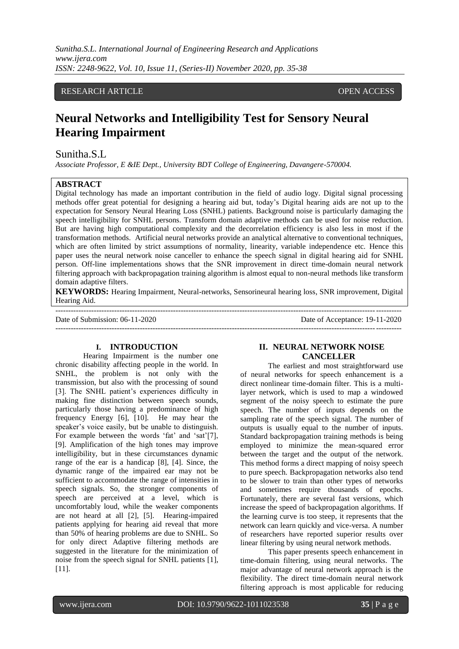# RESEARCH ARTICLE **CONSERVERS** OPEN ACCESS

# **Neural Networks and Intelligibility Test for Sensory Neural Hearing Impairment**

### Sunitha.S.L

*Associate Professor, E &IE Dept., University BDT College of Engineering, Davangere-570004.*

# **ABSTRACT**

Digital technology has made an important contribution in the field of audio logy. Digital signal processing methods offer great potential for designing a hearing aid but, today"s Digital hearing aids are not up to the expectation for Sensory Neural Hearing Loss (SNHL) patients. Background noise is particularly damaging the speech intelligibility for SNHL persons. Transform domain adaptive methods can be used for noise reduction. But are having high computational complexity and the decorrelation efficiency is also less in most if the transformation methods. Artificial neural networks provide an analytical alternative to conventional techniques, which are often limited by strict assumptions of normality, linearity, variable independence etc. Hence this paper uses the neural network noise canceller to enhance the speech signal in digital hearing aid for SNHL person. Off-line implementations shows that the SNR improvement in direct time-domain neural network filtering approach with backpropagation training algorithm is almost equal to non-neural methods like transform domain adaptive filters.

**KEYWORDS:** Hearing Impairment, Neural-networks, Sensorineural hearing loss, SNR improvement, Digital Hearing Aid.

--------------------------------------------------------------------------------------------------------------------------------------- Date of Submission: 06-11-2020 Date of Acceptance: 19-11-2020 ---------------------------------------------------------------------------------------------------------------------------------------

# **I. INTRODUCTION**

Hearing Impairment is the number one chronic disability affecting people in the world. In SNHL, the problem is not only with the transmission, but also with the processing of sound [3]. The SNHL patient's experiences difficulty in making fine distinction between speech sounds, particularly those having a predominance of high frequency Energy [6], [10]. He may hear the speaker's voice easily, but be unable to distinguish. For example between the words 'fat' and 'sat'[7], [9]. Amplification of the high tones may improve intelligibility, but in these circumstances dynamic range of the ear is a handicap [8], [4]. Since, the dynamic range of the impaired ear may not be sufficient to accommodate the range of intensities in speech signals. So, the stronger components of speech are perceived at a level, which is uncomfortably loud, while the weaker components are not heard at all [2], [5]. Hearing-impaired patients applying for hearing aid reveal that more than 50% of hearing problems are due to SNHL. So for only direct Adaptive filtering methods are suggested in the literature for the minimization of noise from the speech signal for SNHL patients [1], [11].

# **II. NEURAL NETWORK NOISE CANCELLER**

The earliest and most straightforward use of neural networks for speech enhancement is a direct nonlinear time-domain filter. This is a multilayer network, which is used to map a windowed segment of the noisy speech to estimate the pure speech. The number of inputs depends on the sampling rate of the speech signal. The number of outputs is usually equal to the number of inputs. Standard backpropagation training methods is being employed to minimize the mean-squared error between the target and the output of the network. This method forms a direct mapping of noisy speech to pure speech. Backpropagation networks also tend to be slower to train than other types of networks and sometimes require thousands of epochs. Fortunately, there are several fast versions, which increase the speed of backpropagation algorithms. If the learning curve is too steep, it represents that the network can learn quickly and vice-versa. A number of researchers have reported superior results over linear filtering by using neural network methods.

This paper presents speech enhancement in time-domain filtering, using neural networks. The major advantage of neural network approach is the flexibility. The direct time-domain neural network filtering approach is most applicable for reducing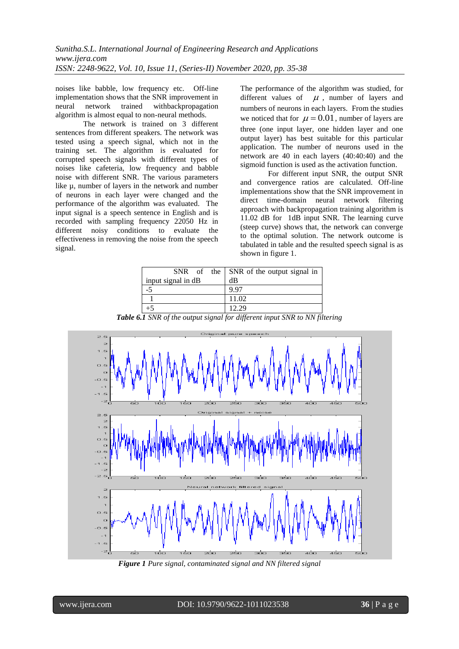noises like babble, low frequency etc. Off-line implementation shows that the SNR improvement in neural network trained withbackpropagation algorithm is almost equal to non-neural methods.

The network is trained on 3 different sentences from different speakers. The network was tested using a speech signal, which not in the training set. The algorithm is evaluated for corrupted speech signals with different types of noises like cafeteria, low frequency and babble noise with different SNR. The various parameters like µ, number of layers in the network and number of neurons in each layer were changed and the performance of the algorithm was evaluated. The input signal is a speech sentence in English and is recorded with sampling frequency 22050 Hz in different noisy conditions to evaluate the effectiveness in removing the noise from the speech signal.

The performance of the algorithm was studied, for different values of  $\mu$ , number of layers and numbers of neurons in each layers. From the studies we noticed that for  $\mu = 0.01$ , number of layers are three (one input layer, one hidden layer and one output layer) has best suitable for this particular application. The number of neurons used in the network are 40 in each layers (40:40:40) and the sigmoid function is used as the activation function.

For different input SNR, the output SNR and convergence ratios are calculated. Off-line implementations show that the SNR improvement in direct time-domain neural network filtering approach with backpropagation training algorithm is 11.02 dB for 1dB input SNR. The learning curve (steep curve) shows that, the network can converge to the optimal solution. The network outcome is tabulated in table and the resulted speech signal is as shown in figure 1.

|                    | $SNR$ of the $\vert SNR$ of the output signal in |
|--------------------|--------------------------------------------------|
| input signal in dB | dВ                                               |
|                    | 9.97                                             |
|                    | 11.02                                            |
|                    | 12.29                                            |

*Table 6.1 SNR of the output signal for different input SNR to NN filtering*



*Figure 1 Pure signal, contaminated signal and NN filtered signal*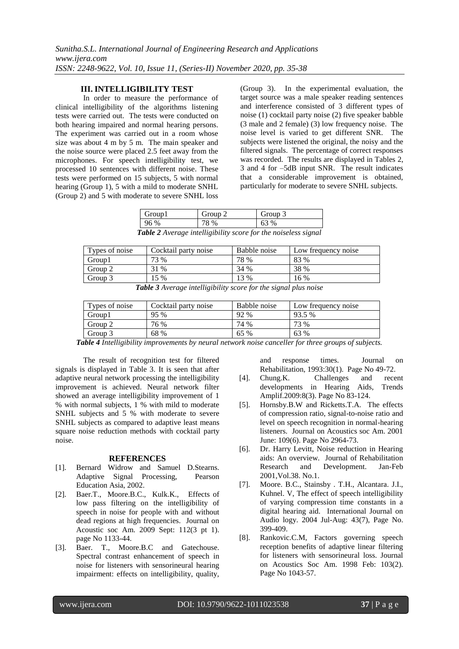# **III. INTELLIGIBILITY TEST**

In order to measure the performance of clinical intelligibility of the algorithms listening tests were carried out. The tests were conducted on both hearing impaired and normal hearing persons. The experiment was carried out in a room whose size was about 4 m by 5 m. The main speaker and the noise source were placed 2.5 feet away from the microphones. For speech intelligibility test, we processed 10 sentences with different noise. These tests were performed on 15 subjects, 5 with normal hearing (Group 1), 5 with a mild to moderate SNHL (Group 2) and 5 with moderate to severe SNHL loss (Group 3). In the experimental evaluation, the target source was a male speaker reading sentences and interference consisted of 3 different types of noise (1) cocktail party noise (2) five speaker babble (3 male and 2 female) (3) low frequency noise. The noise level is varied to get different SNR. The subjects were listened the original, the noisy and the filtered signals. The percentage of correct responses was recorded. The results are displayed in Tables 2, 3 and 4 for –5dB input SNR. The result indicates that a considerable improvement is obtained, particularly for moderate to severe SNHL subjects.

| Group1 | Group 2 | Group 3                                                               |
|--------|---------|-----------------------------------------------------------------------|
| 96 %   | 78 %    | 63 %                                                                  |
|        |         | <b>Table 2</b> Average intelligibility score for the noiseless signal |

| Types of noise                                                     | Cocktail party noise | Babble noise | Low frequency noise |
|--------------------------------------------------------------------|----------------------|--------------|---------------------|
| Group1                                                             | 73 %                 | 78 %         | 83 %                |
| Group 2                                                            | 31 %                 | 34 %         | 38 %                |
| Group 3                                                            | 15 %                 | 13 %         | 16%                 |
| <b>Table 2</b> August intelliption opens for the signal plus noise |                      |              |                     |

|  |  | Table 3 Average intelligibility score for the signal plus noise |  |  |  |
|--|--|-----------------------------------------------------------------|--|--|--|
|--|--|-----------------------------------------------------------------|--|--|--|

| Types of noise | Cocktail party noise | Babble noise | Low frequency noise |
|----------------|----------------------|--------------|---------------------|
| Group1         | 95 %                 | 92 %         | 93.5 %              |
| Group 2        | 76 %                 | 74 %         | 73 %                |
| Group 3        | 68 %                 | 65 %         | 63 %                |

*Table 4 Intelligibility improvements by neural network noise canceller for three groups of subjects.*

The result of recognition test for filtered signals is displayed in Table 3. It is seen that after adaptive neural network processing the intelligibility improvement is achieved. Neural network filter showed an average intelligibility improvement of 1 % with normal subjects, 1 % with mild to moderate SNHL subjects and 5 % with moderate to severe SNHL subjects as compared to adaptive least means square noise reduction methods with cocktail party noise.

#### **REFERENCES**

- [1]. Bernard Widrow and Samuel D.Stearns. Adaptive Signal Processing, Pearson Education Asia, 2002.
- [2]. Baer.T., Moore.B.C., Kulk.K., Effects of low pass filtering on the intelligibility of speech in noise for people with and without dead regions at high frequencies. Journal on Acoustic soc Am. 2009 Sept: 112(3 pt 1). page No 1133-44.
- [3]. Baer. T., Moore.B.C and Gatechouse. Spectral contrast enhancement of speech in noise for listeners with sensorineural hearing impairment: effects on intelligibility, quality,

and response times. Journal on Rehabilitation, 1993:30(1). Page No 49-72.

- [4]. Chung.K. Challenges and recent developments in Hearing Aids, Trends Amplif.2009:8(3). Page No 83-124.
- [5]. Hornsby.B.W and Ricketts.T.A. The effects of compression ratio, signal-to-noise ratio and level on speech recognition in normal-hearing listeners. Journal on Acoustics soc Am. 2001 June: 109(6). Page No 2964-73.
- [6]. Dr. Harry Levitt, Noise reduction in Hearing aids: An overview. Journal of Rehabilitation Research and Development. Jan-Feb 2001,Vol.38. No.1.
- [7]. Moore. B.C., Stainsby . T.H., Alcantara. J.I., Kuhnel. V, The effect of speech intelligibility of varying compression time constants in a digital hearing aid. International Journal on Audio logy. 2004 Jul-Aug: 43(7), Page No. 399-409.
- [8]. Rankovic.C.M, Factors governing speech reception benefits of adaptive linear filtering for listeners with sensorineural loss. Journal on Acoustics Soc Am. 1998 Feb: 103(2). Page No 1043-57.